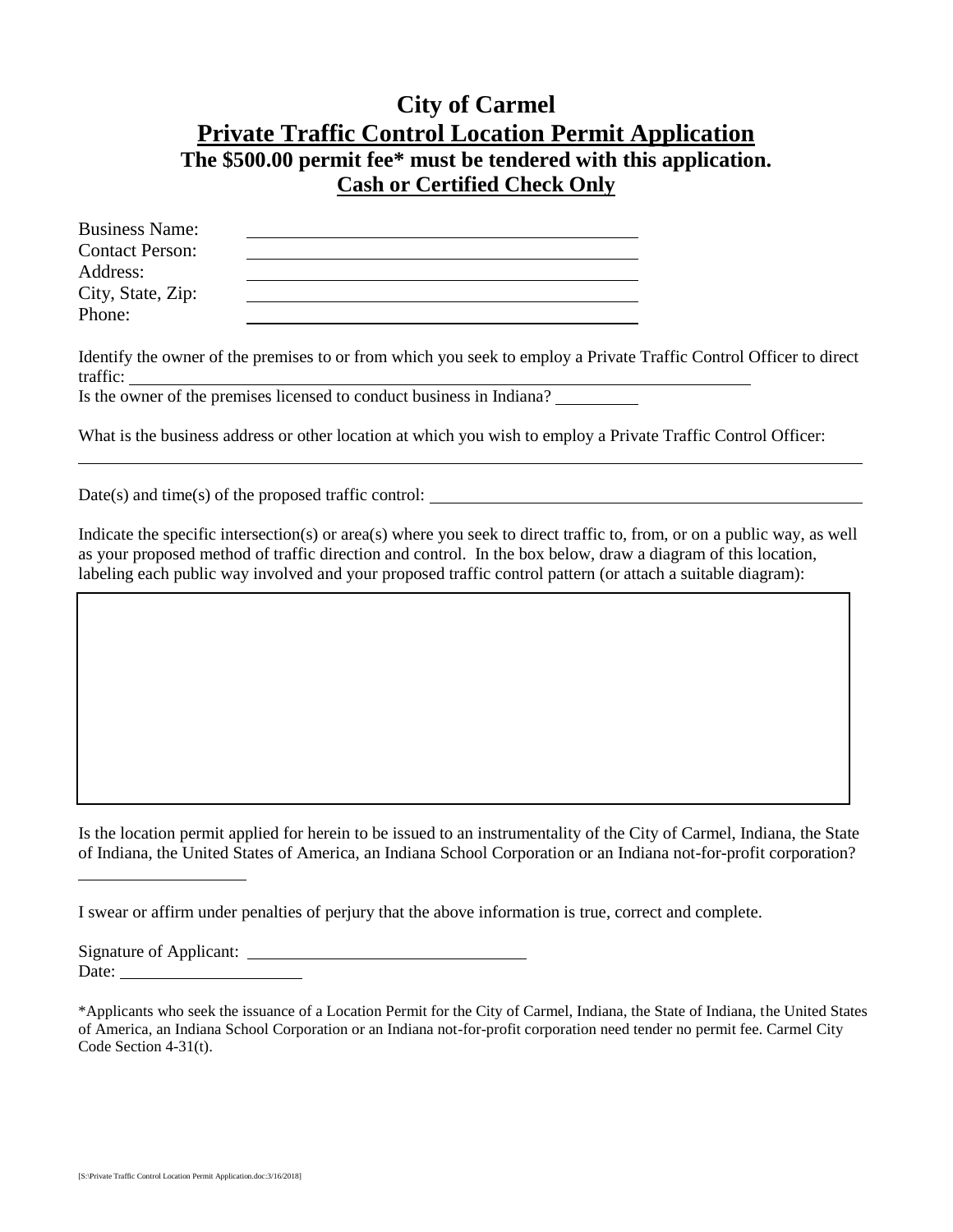## **City of Carmel Private Traffic Control Location Permit Application The \$500.00 permit fee\* must be tendered with this application. Cash or Certified Check Only**

| <b>Business Name:</b>  |  |
|------------------------|--|
| <b>Contact Person:</b> |  |
| Address:               |  |
| City, State, Zip:      |  |
| Phone:                 |  |

Identify the owner of the premises to or from which you seek to employ a Private Traffic Control Officer to direct traffic:

Is the owner of the premises licensed to conduct business in Indiana?

What is the business address or other location at which you wish to employ a Private Traffic Control Officer:

 $Date(s)$  and time(s) of the proposed traffic control:

Indicate the specific intersection(s) or area(s) where you seek to direct traffic to, from, or on a public way, as well as your proposed method of traffic direction and control. In the box below, draw a diagram of this location, labeling each public way involved and your proposed traffic control pattern (or attach a suitable diagram):

Is the location permit applied for herein to be issued to an instrumentality of the City of Carmel, Indiana, the State of Indiana, the United States of America, an Indiana School Corporation or an Indiana not-for-profit corporation?

I swear or affirm under penalties of perjury that the above information is true, correct and complete.

Signature of Applicant: Date:

<sup>\*</sup>Applicants who seek the issuance of a Location Permit for the City of Carmel, Indiana, the State of Indiana, the United States of America, an Indiana School Corporation or an Indiana not-for-profit corporation need tender no permit fee. Carmel City Code Section 4-31(t).